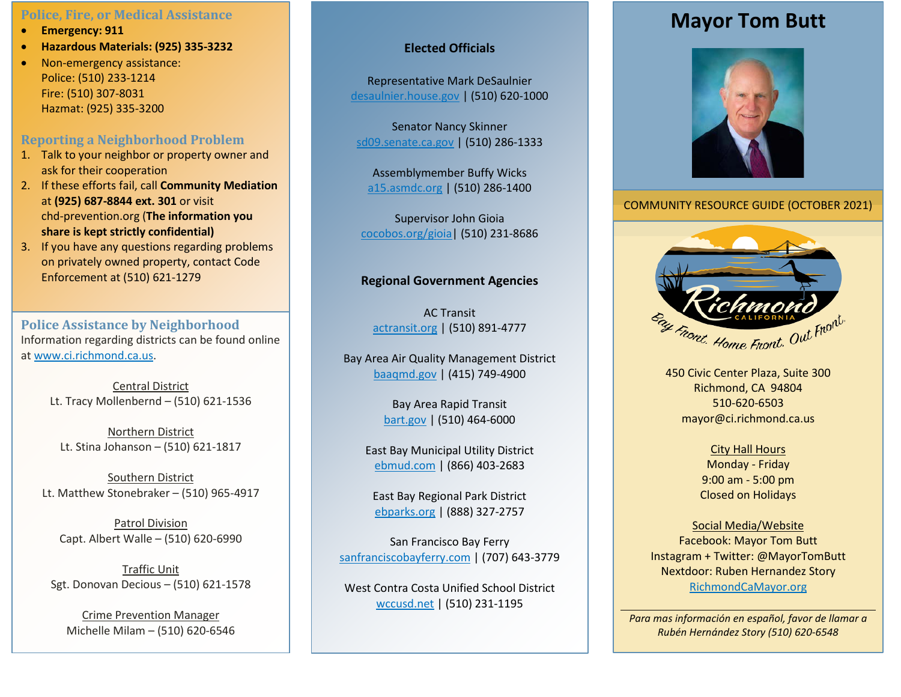### **Police, Fire, or Medical Assistance**

- **Emergency: 911**
- **Hazardous Materials: (925) 335-3232**
- Non-emergency assistance: Police: (510) 233-1214 Fire: (510) 307-8031 Hazmat: (925) 335-3200

### **Reporting a Neighborhood Problem**

- 1. Talk to your neighbor or property owner and ask for their cooperation
- 2. If these efforts fail, call **Community Mediation** at **(925) 687-8844 ext. 301** or visit chd-prevention.org (**The information you share is kept strictly confidential)**
- 3. If you have any questions regarding problems on privately owned property, contact Code Enforcement at (510) 621-1279

**Police Assistance by Neighborhood** Information regarding districts can be found online at [www.ci.richmond.ca.us.](http://www.ci.richmond.ca.us/)

> Central District Lt. Tracy Mollenbernd – (510) 621-1536

Northern District Lt. Stina Johanson – (510) 621-1817

Southern District Lt. Matthew Stonebraker – (510) 965-4917

Patrol Division Capt. Albert Walle – (510) 620-6990

Traffic Unit Sgt. Donovan Decious – (510) 621-1578

Crime Prevention Manager Michelle Milam – (510) 620-6546

### **Elected Officials**

Representative Mark DeSaulnier desaulnier.house.gov | (510) 620-1000

Senator Nancy Skinner sd09.senate.ca.gov | (510) 286-1333

Assemblymember Buffy Wicks [a15.asmdc.org](https://a15.asmdc.org/) | (510) 286-1400

Supervisor John Gioia [cocobos.org/gioia|](http://www.cocobos.org/gioia) (510) 231-8686

### **Regional Government Agencies**

AC Transit actransit.org | (510) 891-4777

Bay Area Air Quality Management District baaqmd.gov | (415) 749-4900

> Bay Area Rapid Transit bart.gov | (510) 464-6000

East Bay Municipal Utility District ebmud.com | (866) 403-2683

East Bay Regional Park District ebparks.org | (888) 327-2757

San Francisco Bay Ferry sanfranciscobayferry.com | (707) 643-3779

West Contra Costa Unified School District wccusd.net | (510) 231-1195

# **Mayor Tom Butt**



COMMUNITY RESOURCE GUIDE (OCTOBER 2021)



450 Civic Center Plaza, Suite 300 Richmond, CA 94804 510-620-6503 mayor@ci.richmond.ca.us

> City Hall Hours Monday - Friday 9:00 am - 5:00 pm Closed on Holidays

Social Media/Website Facebook: Mayor Tom Butt Instagram + Twitter: @MayorTomButt Nextdoor: Ruben Hernandez Story RichmondCaMayor.org

*Para mas información en español, favor de llamar a Rubén Hernández Story (510) 620-6548*